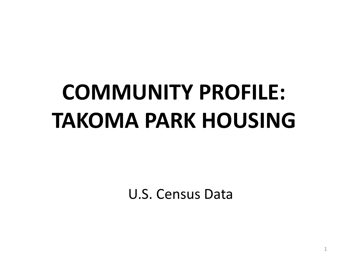# **COMMUNITY PROFILE: TAKOMA PARK HOUSING**

U.S. Census Data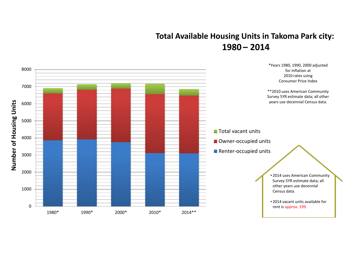# **Total Available Housing Units in Takoma Park city: 1980 – 2014**

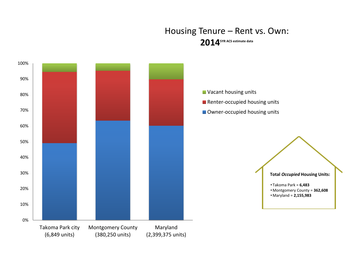#### Housing Tenure – Rent vs. Own: **20145YR ACS estimate data**

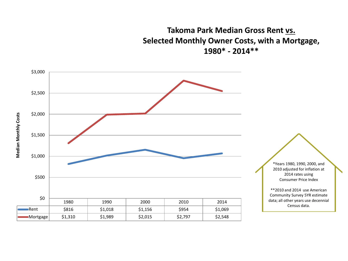**Takoma Park Median Gross Rent vs. Selected Monthly Owner Costs, with a Mortgage, 1980\* - 2014\*\***

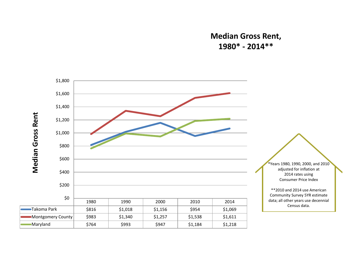#### **Median Gross Rent, 1980\* - 2014\*\***

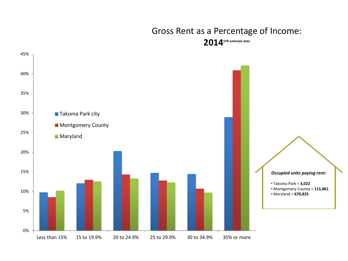### Gross Rent as a Percentage of Income: **20145YR estimate data**

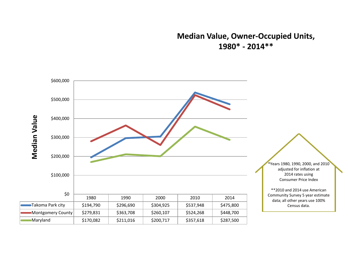#### **Median Value, Owner-Occupied Units, 1980\* - 2014\*\***

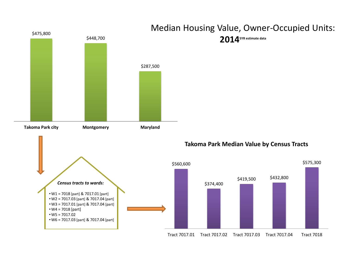

# Median Housing Value, Owner-Occupied Units: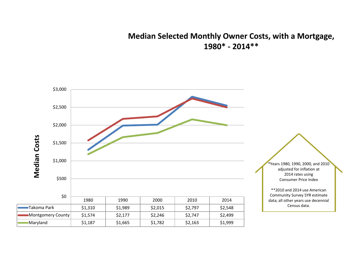#### **Median Selected Monthly Owner Costs, with a Mortgage, 1980\* - 2014\*\***